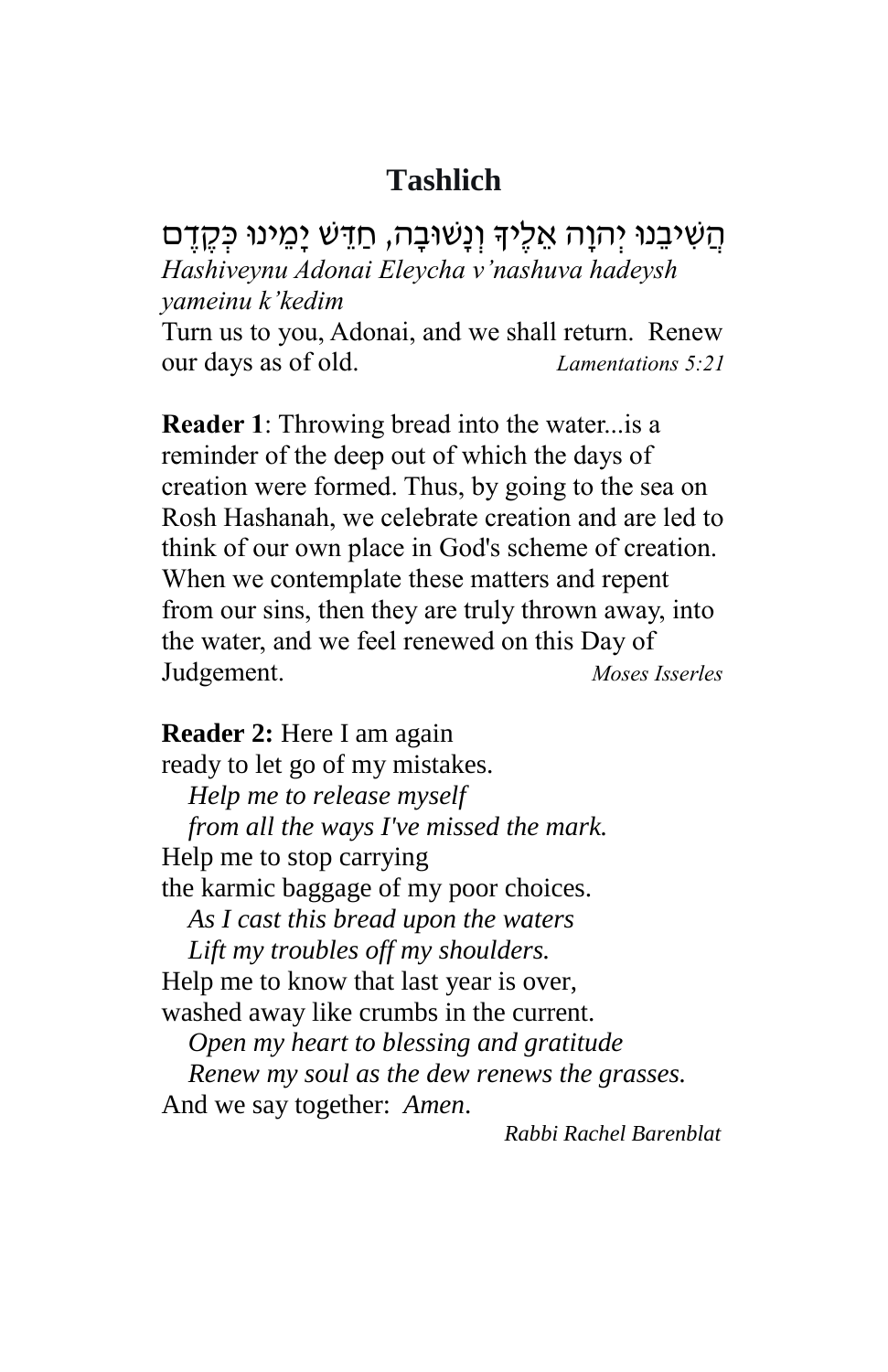## **Tashlich**

הַשִּׁיבֵנוּ יִהוַה אֵלֶיךָ וְנַשׁוּבַה, חַדֵּשׁ יַמֵינוּ כְּקֶדֶם *Hashiveynu Adonai Eleycha v'nashuva hadeysh yameinu k'kedim*

Turn us to you, Adonai, and we shall return. Renew our days as of old. *Lamentations 5:21*

**Reader 1**: Throwing bread into the water...is a reminder of the deep out of which the days of creation were formed. Thus, by going to the sea on Rosh Hashanah, we celebrate creation and are led to think of our own place in God's scheme of creation. When we contemplate these matters and repent from our sins, then they are truly thrown away, into the water, and we feel renewed on this Day of Judgement. *Moses Isserles*

**Reader 2:** Here I am again ready to let go of my mistakes. *Help me to release myself from all the ways I've missed the mark.* Help me to stop carrying the karmic baggage of my poor choices. *As I cast this bread upon the waters Lift my troubles off my shoulders.* Help me to know that last year is over, washed away like crumbs in the current. *Open my heart to blessing and gratitude Renew my soul as the dew renews the grasses.* And we say together: *Amen*.

 *Rabbi Rachel Barenblat*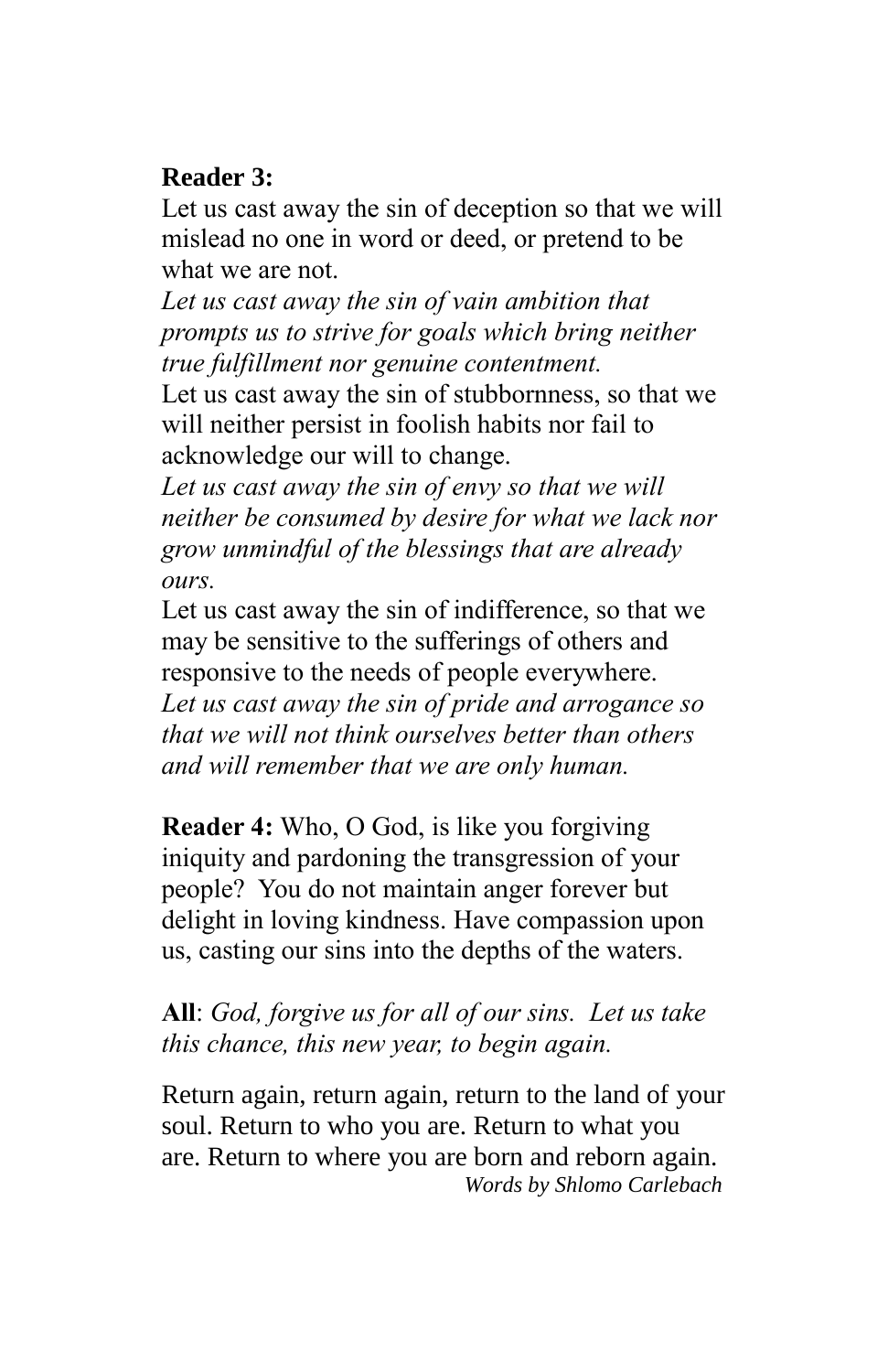## **Reader 3:**

Let us cast away the sin of deception so that we will mislead no one in word or deed, or pretend to be what we are not.

*Let us cast away the sin of vain ambition that prompts us to strive for goals which bring neither true fulfillment nor genuine contentment.*

Let us cast away the sin of stubbornness, so that we will neither persist in foolish habits nor fail to acknowledge our will to change.

*Let us cast away the sin of envy so that we will neither be consumed by desire for what we lack nor grow unmindful of the blessings that are already ours.*

Let us cast away the sin of indifference, so that we may be sensitive to the sufferings of others and responsive to the needs of people everywhere. *Let us cast away the sin of pride and arrogance so that we will not think ourselves better than others and will remember that we are only human.* 

**Reader 4:** Who, O God, is like you forgiving iniquity and pardoning the transgression of your people? You do not maintain anger forever but delight in loving kindness. Have compassion upon us, casting our sins into the depths of the waters.

**All**: *God, forgive us for all of our sins. Let us take this chance, this new year, to begin again.*

Return again, return again, return to the land of your soul. Return to who you are. Return to what you are. Return to where you are born and reborn again.  *Words by Shlomo Carlebach*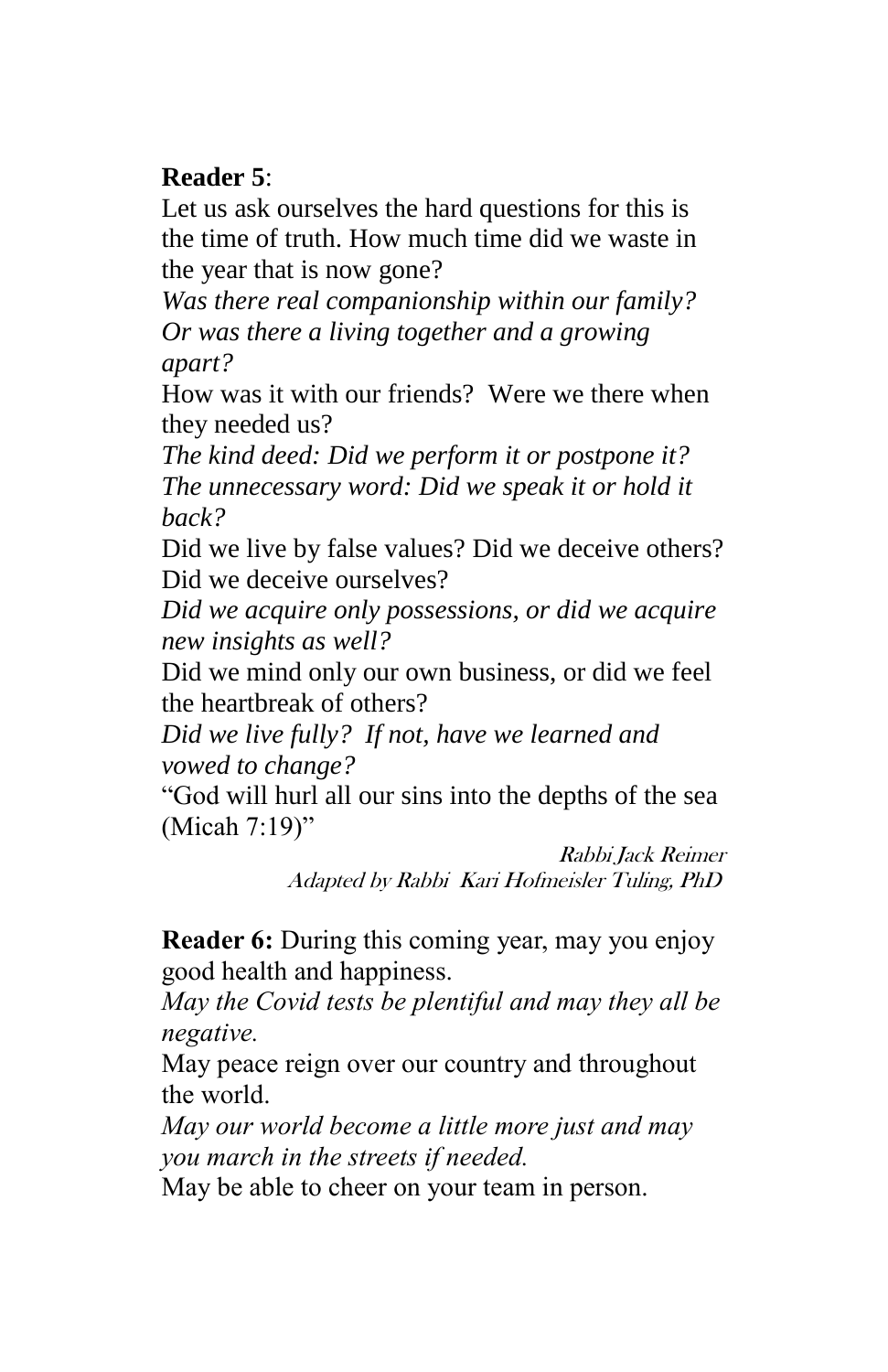## **Reader 5**:

Let us ask ourselves the hard questions for this is the time of truth. How much time did we waste in the year that is now gone?

*Was there real companionship within our family? Or was there a living together and a growing apart?*

How was it with our friends? Were we there when they needed us?

*The kind deed: Did we perform it or postpone it? The unnecessary word: Did we speak it or hold it back?*

Did we live by false values? Did we deceive others? Did we deceive ourselves?

*Did we acquire only possessions, or did we acquire new insights as well?*

Did we mind only our own business, or did we feel the heartbreak of others?

*Did we live fully? If not, have we learned and vowed to change?*

"God will hurl all our sins into the depths of the sea (Micah 7:19)"

> Rabbi Jack Reimer Adapted by Rabbi Kari Hofmeisler Tuling, PhD

**Reader 6:** During this coming year, may you enjoy good health and happiness.

*May the Covid tests be plentiful and may they all be negative.* 

May peace reign over our country and throughout the world.

*May our world become a little more just and may you march in the streets if needed.* 

May be able to cheer on your team in person.